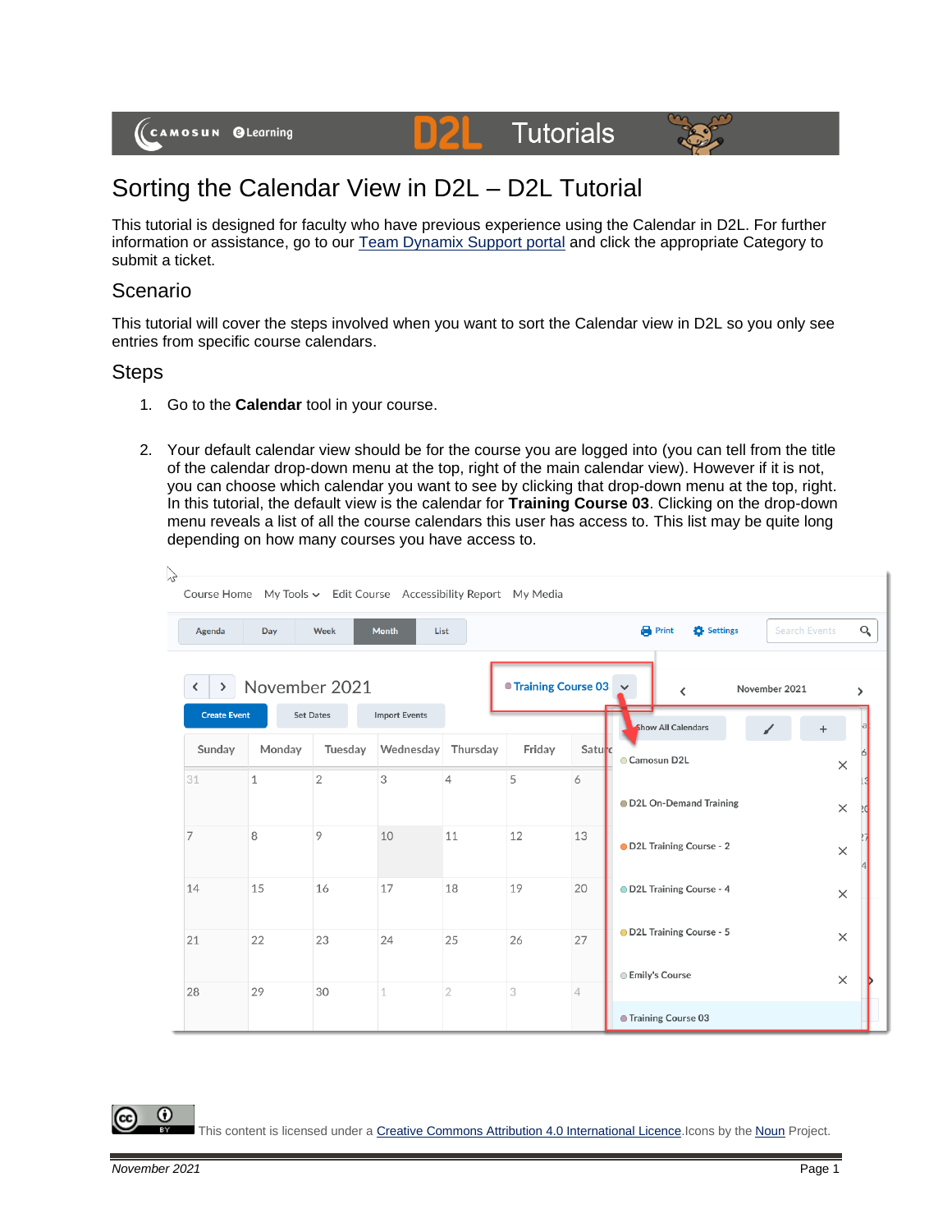

## Sorting the Calendar View in D2L – D2L Tutorial

D

This tutorial is designed for faculty who have previous experience using the Calendar in D2L. For further information or assistance, go to our [Team Dynamix Support portal](https://camosun.teamdynamix.com/TDClient/67/Portal/Requests/ServiceCatalog?CategoryID=523) and click the appropriate Category to submit a ticket.

## Scenario

This tutorial will cover the steps involved when you want to sort the Calendar view in D2L so you only see entries from specific course calendars.

## **Steps**

- 1. Go to the **Calendar** tool in your course.
- 2. Your default calendar view should be for the course you are logged into (you can tell from the title of the calendar drop-down menu at the top, right of the main calendar view). However if it is not, you can choose which calendar you want to see by clicking that drop-down menu at the top, right. In this tutorial, the default view is the calendar for **Training Course 03**. Clicking on the drop-down menu reveals a list of all the course calendars this user has access to. This list may be quite long depending on how many courses you have access to.

| Agenda              | Day          | Week             | <b>Month</b>         | List           |                        |                | <b>Print</b><br>Settings<br><b>Search Events</b> |          |
|---------------------|--------------|------------------|----------------------|----------------|------------------------|----------------|--------------------------------------------------|----------|
| ≻<br>≺              |              | November 2021    |                      |                | ■ Training Course 03 → |                | November 2021<br>$\langle$                       |          |
| <b>Create Event</b> |              | <b>Set Dates</b> | <b>Import Events</b> |                |                        |                | <b>Show All Calendars</b>                        |          |
| Sunday              | Monday       | Tuesday          | Wednesday            | Thursday       | Friday                 | Saturc         | Camosun D2L                                      | $\times$ |
| 31                  | $\mathbf{1}$ | $\overline{2}$   | 3                    | $\overline{4}$ | 5                      | 6              |                                                  |          |
|                     |              |                  |                      |                |                        |                | D2L On-Demand Training                           | $\times$ |
| 7                   | 8            | 9                | 10                   | 11             | 12                     | 13             | D2L Training Course - 2                          | $\times$ |
| 14                  | 15           | 16               | 17                   | 18             | 19                     | 20             | D2L Training Course - 4                          |          |
|                     |              |                  |                      |                |                        |                |                                                  | $\times$ |
| 21                  | 22           | 23               | 24                   | 25             | 26                     | 27             | OD2L Training Course - 5                         | $\times$ |
|                     |              |                  |                      |                |                        |                | <b>Emily's Course</b>                            | $\times$ |
| 28                  | 29           | 30               | 1                    | $\overline{2}$ | 3                      | $\overline{4}$ |                                                  |          |

This content is licensed under [a Creative Commons Attribution 4.0 International Licence.I](https://creativecommons.org/licenses/by/4.0/)cons by the [Noun](https://creativecommons.org/website-icons/) Project.

O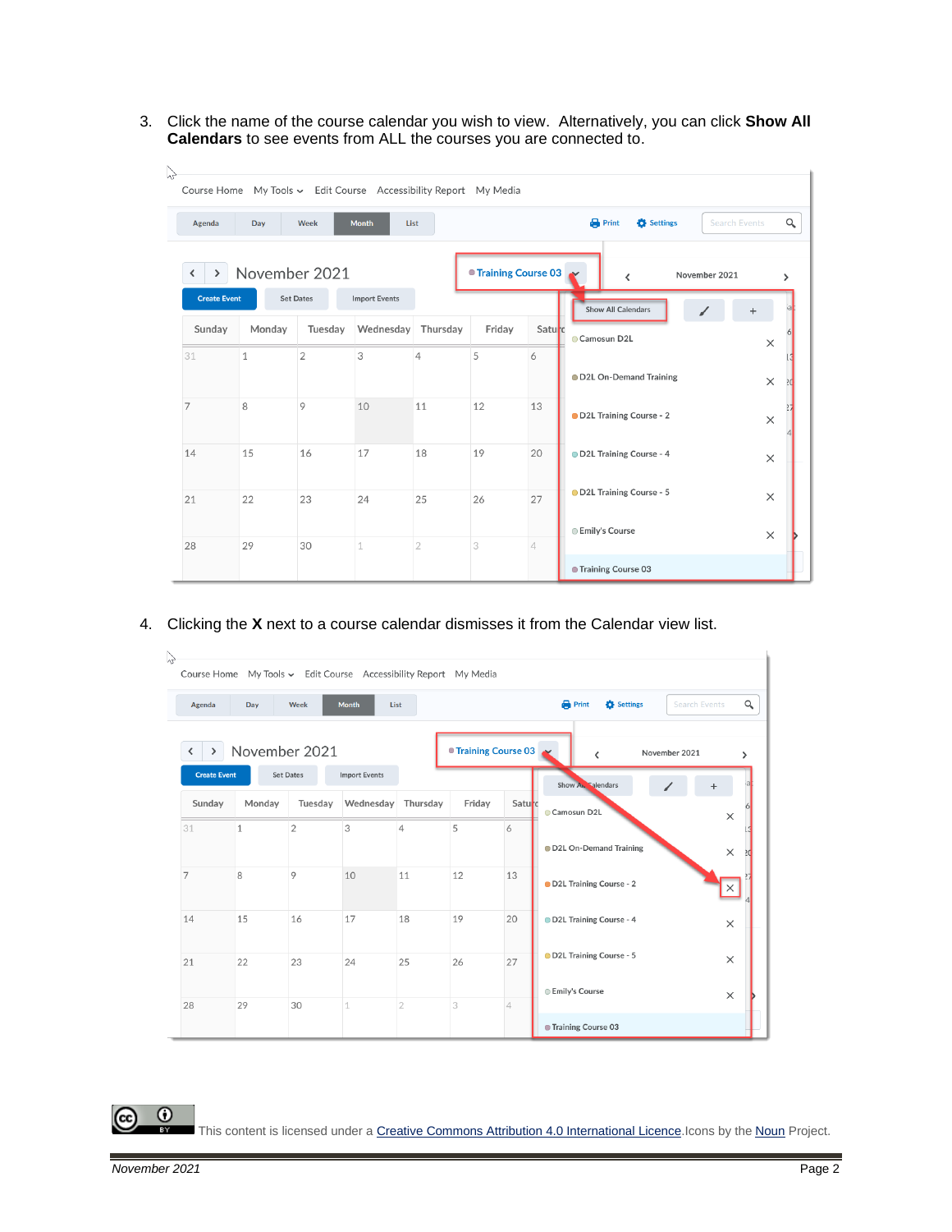3. Click the name of the course calendar you wish to view. Alternatively, you can click **Show All Calendars** to see events from ALL the courses you are connected to.

| Course Home<br>Agenda         | Day           | Week                        | My Tools v Edit Course Accessibility Report My Media<br><b>Month</b> | List                 |                      |                | <b>Print</b><br>Q<br>Settings<br><b>Search Events</b>                       |
|-------------------------------|---------------|-----------------------------|----------------------------------------------------------------------|----------------------|----------------------|----------------|-----------------------------------------------------------------------------|
| ⋗                             | November 2021 |                             |                                                                      |                      | ● Training Course 03 |                | November 2021<br>≺<br>$\rightarrow$                                         |
| <b>Create Event</b><br>Sunday | Monday        | <b>Set Dates</b><br>Tuesday | <b>Import Events</b><br>Wednesday                                    | Thursday             | Friday               | Saturo         | <b>Show All Calendars</b><br>Camosun D2L<br>$\times$                        |
| 31                            | $\mathbf{1}$  | $\overline{2}$              | 3                                                                    | 4                    | 5                    | 6              | OD2L On-Demand Training<br>$\times$                                         |
| 7                             | 8             | 9                           | 10                                                                   | 11                   | 12                   | 13             | OD2L Training Course - 2<br>$\times$                                        |
| 14                            | 15            | 16                          | 17                                                                   | 18                   | 19                   | 20             | D2L Training Course - 4<br>$\times$<br>OD2L Training Course - 5<br>$\times$ |
| 21                            | 22<br>29      | 23<br>30                    | 24<br>$\mathbf 1$                                                    | 25<br>$\overline{2}$ | 26<br>3              | 27             | <b>Emily's Course</b><br>$\times$                                           |
| 28                            |               |                             |                                                                      |                      |                      | $\overline{4}$ | ● Training Course 03                                                        |

4. Clicking the **X** next to a course calendar dismisses it from the Calendar view list.

|                     | Day          | Week             | <b>Month</b><br>List |                |                      |                | <b>Print</b><br>Settings<br><b>Search Events</b> | $\alpha$      |
|---------------------|--------------|------------------|----------------------|----------------|----------------------|----------------|--------------------------------------------------|---------------|
| ゝ                   |              | November 2021    |                      |                | ● Training Course 03 |                | November 2021<br>∢                               | $\rightarrow$ |
| <b>Create Event</b> |              | <b>Set Dates</b> | <b>Import Events</b> |                |                      |                | Show A. Salendars                                |               |
| Sunday              | Monday       | Tuesday          | Wednesday            | Thursday       | Friday               | Saturc         | Camosun D2L                                      | $\times$      |
| 31                  | $\mathbf{1}$ | $\overline{2}$   | 3                    | $\overline{4}$ | 5                    | 6              | D2L On-Demand Training                           | $\times$      |
| 7                   | 8            | 9                | 10                   | 11             | 12                   | 13             | OD2L Training Course - 2                         | ×             |
| 14                  | 15           | 16               | 17                   | 18             | 19                   | 20             | D2L Training Course - 4                          | $\times$      |
| 21                  | 22           | 23               | 24                   | 25             | 26                   | 27             | OD2L Training Course - 5                         | $\times$      |
| 28                  | 29           | 30               | 1                    | $\overline{2}$ | 3                    | $\overline{4}$ | <b>Emily's Course</b>                            | $\times$      |

This content is licensed under [a Creative Commons Attribution 4.0 International Licence.I](https://creativecommons.org/licenses/by/4.0/)cons by the [Noun](https://creativecommons.org/website-icons/) Project.

 $\odot$ 

(cc